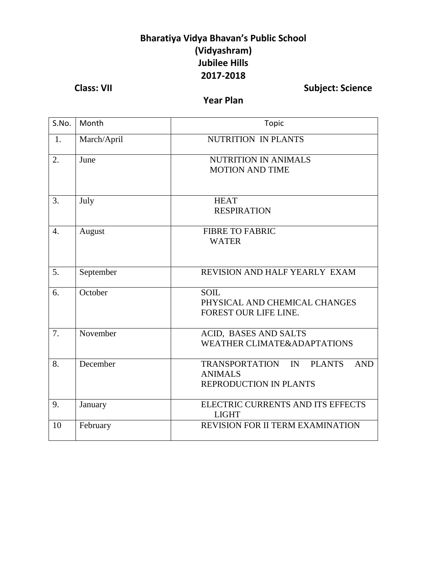## **Bharatiya Vidya Bhavan's Public School (Vidyashram) Jubilee Hills 2017-2018**

**Class: VII Class: VII Subject: Science** 

#### **Year Plan**

| S.No.            | Month       | Topic                                                                                                         |
|------------------|-------------|---------------------------------------------------------------------------------------------------------------|
| 1.               | March/April | <b>NUTRITION IN PLANTS</b>                                                                                    |
| 2.               | June        | <b>NUTRITION IN ANIMALS</b><br><b>MOTION AND TIME</b>                                                         |
| 3.               | July        | <b>HEAT</b><br><b>RESPIRATION</b>                                                                             |
| $\overline{4}$ . | August      | <b>FIBRE TO FABRIC</b><br><b>WATER</b>                                                                        |
| 5.               | September   | REVISION AND HALF YEARLY EXAM                                                                                 |
| 6.               | October     | <b>SOIL</b><br>PHYSICAL AND CHEMICAL CHANGES<br>FOREST OUR LIFE LINE.                                         |
| 7.               | November    | ACID, BASES AND SALTS<br><b>WEATHER CLIMATE&amp;ADAPTATIONS</b>                                               |
| 8.               | December    | <b>TRANSPORTATION</b><br>IN<br><b>PLANTS</b><br><b>AND</b><br><b>ANIMALS</b><br><b>REPRODUCTION IN PLANTS</b> |
| 9.               | January     | ELECTRIC CURRENTS AND ITS EFFECTS<br><b>LIGHT</b>                                                             |
| 10               | February    | <b>REVISION FOR II TERM EXAMINATION</b>                                                                       |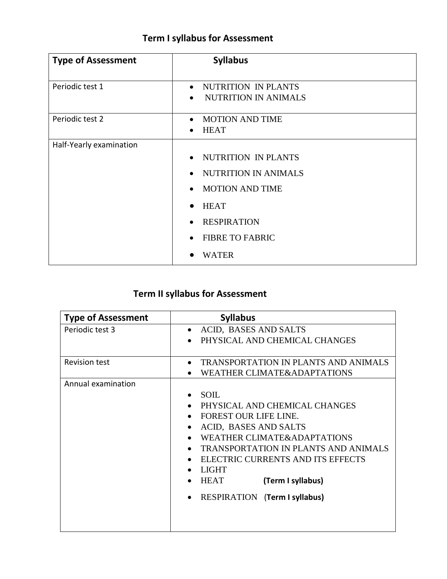## **Term I syllabus for Assessment**

| <b>Type of Assessment</b> | <b>Syllabus</b>                                                                                                                                                                                                                    |
|---------------------------|------------------------------------------------------------------------------------------------------------------------------------------------------------------------------------------------------------------------------------|
| Periodic test 1           | NUTRITION IN PLANTS<br>$\bullet$<br><b>NUTRITION IN ANIMALS</b><br>$\bullet$                                                                                                                                                       |
| Periodic test 2           | <b>MOTION AND TIME</b><br>$\bullet$<br><b>HEAT</b><br>$\bullet$                                                                                                                                                                    |
| Half-Yearly examination   | NUTRITION IN PLANTS<br>$\bullet$<br>NUTRITION IN ANIMALS<br>$\bullet$<br><b>MOTION AND TIME</b><br>$\bullet$<br><b>HEAT</b><br>$\bullet$<br><b>RESPIRATION</b><br>$\bullet$<br><b>FIBRE TO FABRIC</b><br>$\bullet$<br><b>WATER</b> |

# **Term II syllabus for Assessment**

| <b>Type of Assessment</b> | <b>Syllabus</b>                                                                                                                                                                                                                                                                                                      |
|---------------------------|----------------------------------------------------------------------------------------------------------------------------------------------------------------------------------------------------------------------------------------------------------------------------------------------------------------------|
| Periodic test 3           | ACID, BASES AND SALTS<br>PHYSICAL AND CHEMICAL CHANGES                                                                                                                                                                                                                                                               |
| <b>Revision test</b>      | <b>TRANSPORTATION IN PLANTS AND ANIMALS</b><br><b>WEATHER CLIMATE&amp;ADAPTATIONS</b>                                                                                                                                                                                                                                |
| Annual examination        | <b>SOIL</b><br>PHYSICAL AND CHEMICAL CHANGES<br><b>FOREST OUR LIFE LINE.</b><br>ACID, BASES AND SALTS<br>WEATHER CLIMATE&ADAPTATIONS<br><b>TRANSPORTATION IN PLANTS AND ANIMALS</b><br>ELECTRIC CURRENTS AND ITS EFFECTS<br><b>LIGHT</b><br><b>HEAT</b><br>(Term I syllabus)<br><b>RESPIRATION (Term I syllabus)</b> |